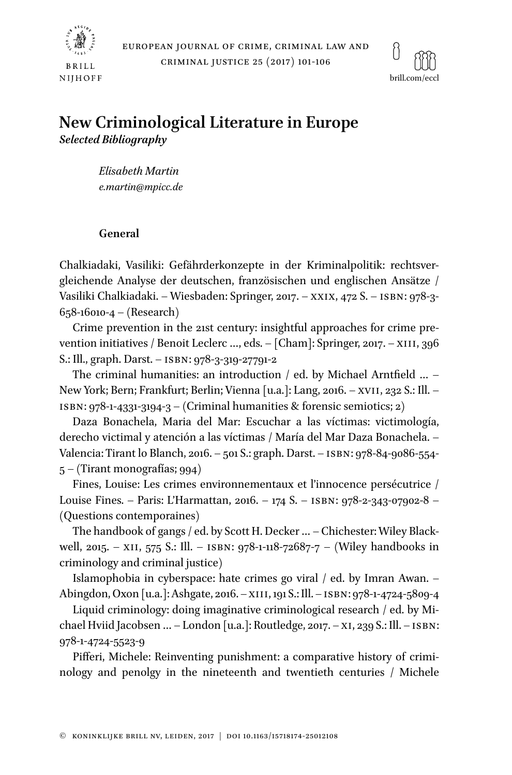



# **New Criminological Literature in Europe** *Selected Bibliography*

*Elisabeth Martin e.martin@mpicc.de*

# **General**

Chalkiadaki, Vasiliki: Gefährderkonzepte in der Kriminalpolitik: rechtsvergleichende Analyse der deutschen, französischen und englischen Ansätze / Vasiliki Chalkiadaki. – Wiesbaden: Springer, 2017. – xxix, 472 S. – isbn: 978-3- 658-16010-4 – (Research)

Crime prevention in the 21st century: insightful approaches for crime prevention initiatives / Benoit Leclerc ..., eds. - [Cham]: Springer, 2017. - XIII, 396 S.: Ill., graph. Darst. – isbn: 978-3-319-27791-2

The criminal humanities: an introduction  $/$  ed. by Michael Arntfield ... -New York; Bern; Frankfurt; Berlin; Vienna [u.a.]: Lang, 2016. – xvii, 232 S.: Ill. – ISBN:  $978-1-4331-3194-3$  – (Criminal humanities & forensic semiotics; 2)

Daza Bonachela, Maria del Mar: Escuchar a las víctimas: victimología, derecho victimal y atención a las víctimas / María del Mar Daza Bonachela. – Valencia: Tirant lo Blanch, 2016. – 501 S.: graph. Darst. – isbn: 978-84-9086-554- 5 – (Tirant monografías; 994)

Fines, Louise: Les crimes environnementaux et l'innocence persécutrice / Louise Fines. – Paris: L'Harmattan, 2016. – 174 S. – isbn: 978-2-343-07902-8 – (Questions contemporaines)

The handbook of gangs / ed. by Scott H. Decker … – Chichester: Wiley Blackwell, 2015. – XII, 575 S.: Ill. – ISBN: 978-1-118-72687-7 – (Wiley handbooks in criminology and criminal justice)

Islamophobia in cyberspace: hate crimes go viral / ed. by Imran Awan. – Abingdon, Oxon [u.a.]: Ashgate, 2016. – xiii, 191 S.: Ill. – isbn: 978-1-4724-5809-4

Liquid criminology: doing imaginative criminological research / ed. by Michael Hviid Jacobsen … – London [u.a.]: Routledge, 2017. – xi, 239 S.: Ill. – isbn: 978-1-4724-5523-9

Pifferi, Michele: Reinventing punishment: a comparative history of criminology and penolgy in the nineteenth and twentieth centuries / Michele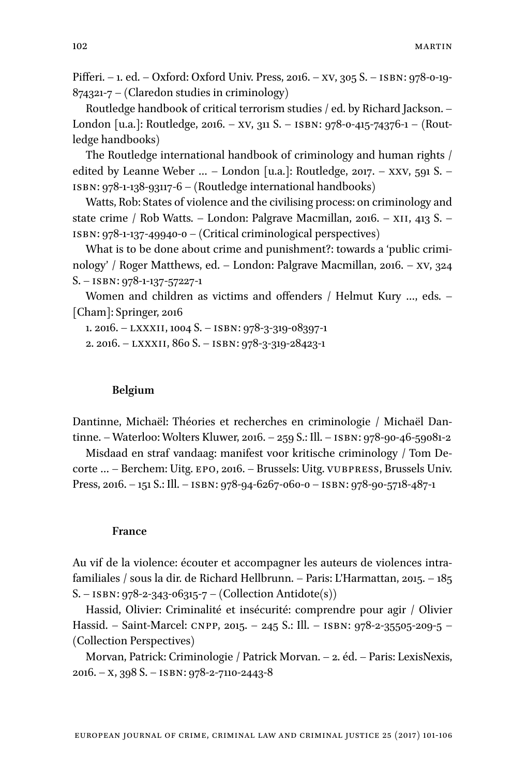Pifferi. – 1. ed. – Oxford: Oxford Univ. Press, 2016. – xv, 305 S. – isbn: 978-0-19- 874321-7 – (Claredon studies in criminology)

Routledge handbook of critical terrorism studies / ed. by Richard Jackson. – London [u.a.]: Routledge, 2016. – xv, 311 S. – isbn: 978-0-415-74376-1 – (Routledge handbooks)

The Routledge international handbook of criminology and human rights / edited by Leanne Weber  $\ldots$  – London [u.a.]: Routledge, 2017. – XXV, 591 S. – isbn: 978-1-138-93117-6 – (Routledge international handbooks)

Watts, Rob: States of violence and the civilising process: on criminology and state crime / Rob Watts. – London: Palgrave Macmillan, 2016. – XII, 413 S. – isbn: 978-1-137-49940-0 – (Critical criminological perspectives)

What is to be done about crime and punishment?: towards a 'public criminology' / Roger Matthews, ed. – London: Palgrave Macmillan, 2016. – xv, 324 S. – isbn: 978-1-137-57227-1

Women and children as victims and offenders / Helmut Kury …, eds. – [Cham]: Springer, 2016

1. 2016. – lxxxii, 1004 S. – isbn: 978-3-319-08397-1

2. 2016. – lxxxii, 860 S. – isbn: 978-3-319-28423-1

#### **Belgium**

Dantinne, Michaël: Théories et recherches en criminologie / Michaël Dantinne. – Waterloo: Wolters Kluwer, 2016. – 259 S.: Ill. – isbn: 978-90-46-59081-2

Misdaad en straf vandaag: manifest voor kritische criminology / Tom Decorte … – Berchem: Uitg. epo, 2016. – Brussels: Uitg. vubpress, Brussels Univ. Press, 2016. – 151 S.: Ill. – isbn: 978-94-6267-060-0 – isbn: 978-90-5718-487-1

#### **France**

Au vif de la violence: écouter et accompagner les auteurs de violences intrafamiliales / sous la dir. de Richard Hellbrunn. – Paris: L'Harmattan, 2015. – 185 S. – ISBN: 978-2-343-06315-7 – (Collection Antidote(s))

Hassid, Olivier: Criminalité et insécurité: comprendre pour agir / Olivier Hassid. – Saint-Marcel: cnpp, 2015. – 245 S.: Ill. – isbn: 978-2-35505-209-5 – (Collection Perspectives)

Morvan, Patrick: Criminologie / Patrick Morvan. – 2. éd. – Paris: LexisNexis, 2016. – x, 398 S. – isbn: 978-2-7110-2443-8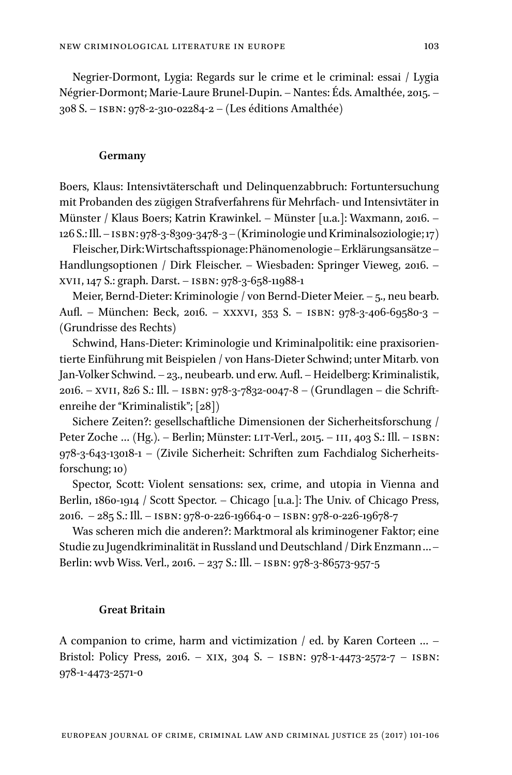Negrier-Dormont, Lygia: Regards sur le crime et le criminal: essai / Lygia Négrier-Dormont; Marie-Laure Brunel-Dupin. – Nantes: Éds. Amalthée, 2015. – 308 S. – isbn: 978-2-310-02284-2 – (Les éditions Amalthée)

#### **Germany**

Boers, Klaus: Intensivtäterschaft und Delinquenzabbruch: Fortuntersuchung mit Probanden des zügigen Strafverfahrens für Mehrfach- und Intensivtäter in Münster / Klaus Boers; Katrin Krawinkel. – Münster [u.a.]: Waxmann, 2016. – 126 S.: Ill. – isbn: 978-3-8309-3478-3 – (Kriminologie und Kriminalsoziologie; 17)

Fleischer, Dirk: Wirtschaftsspionage: Phänomenologie – Erklärungsansätze – Handlungsoptionen / Dirk Fleischer. – Wiesbaden: Springer Vieweg, 2016. – xvii, 147 S.: graph. Darst. – isbn: 978-3-658-11988-1

Meier, Bernd-Dieter: Kriminologie / von Bernd-Dieter Meier. – 5., neu bearb. Aufl. – München: Beck, 2016. – xxxvi, 353 S. – isbn: 978-3-406-69580-3 – (Grundrisse des Rechts)

Schwind, Hans-Dieter: Kriminologie und Kriminalpolitik: eine praxisorientierte Einführung mit Beispielen / von Hans-Dieter Schwind; unter Mitarb. von Jan-Volker Schwind. – 23., neubearb. und erw. Aufl. – Heidelberg: Kriminalistik, 2016. – xvii, 826 S.: Ill. – isbn: 978-3-7832-0047-8 – (Grundlagen – die Schriftenreihe der "Kriminalistik"; [28])

Sichere Zeiten?: gesellschaftliche Dimensionen der Sicherheitsforschung / Peter Zoche ... (Hg.). – Berlin; Münster: LIT-Verl., 2015. – III, 403 S.: Ill. – ISBN: 978-3-643-13018-1 – (Zivile Sicherheit: Schriften zum Fachdialog Sicherheitsforschung; 10)

Spector, Scott: Violent sensations: sex, crime, and utopia in Vienna and Berlin, 1860-1914 / Scott Spector. – Chicago [u.a.]: The Univ. of Chicago Press, 2016. – 285 S.: Ill. – isbn: 978-0-226-19664-0 – isbn: 978-0-226-19678-7

Was scheren mich die anderen?: Marktmoral als kriminogener Faktor; eine Studie zu Jugendkriminalität in Russland und Deutschland / Dirk Enzmann … – Berlin: wvb Wiss. Verl., 2016. – 237 S.: Ill. – isbn: 978-3-86573-957-5

# **Great Britain**

A companion to crime, harm and victimization / ed. by Karen Corteen … – Bristol: Policy Press, 2016. – xix, 304 S. – isbn: 978-1-4473-2572-7 – isbn: 978-1-4473-2571-0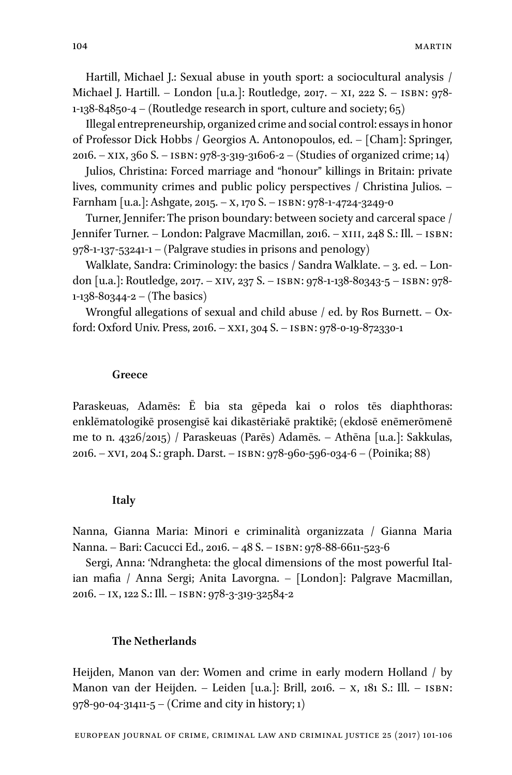Hartill, Michael J.: Sexual abuse in youth sport: a sociocultural analysis / Michael J. Hartill. – London [u.a.]: Routledge, 2017. – xi, 222 S. – isbn: 978- 1-138-84850-4 – (Routledge research in sport, culture and society;  $65$ )

Illegal entrepreneurship, organized crime and social control: essays in honor of Professor Dick Hobbs / Georgios A. Antonopoulos, ed. – [Cham]: Springer, 2016. – xix, 360 S. – isbn: 978-3-319-31606-2 – (Studies of organized crime; 14)

Julios, Christina: Forced marriage and "honour" killings in Britain: private lives, community crimes and public policy perspectives / Christina Julios. – Farnham [u.a.]: Ashgate, 2015. – X, 170 S. – ISBN: 978-1-4724-3249-0

Turner, Jennifer: The prison boundary: between society and carceral space / Jennifer Turner. – London: Palgrave Macmillan, 2016. – XIII, 248 S.: Ill. – ISBN: 978-1-137-53241-1 – (Palgrave studies in prisons and penology)

Walklate, Sandra: Criminology: the basics / Sandra Walklate. – 3. ed. – London [u.a.]: Routledge, 2017. – xiv, 237 S. – isbn: 978-1-138-80343-5 – isbn: 978- 1-138-80344-2 – (The basics)

Wrongful allegations of sexual and child abuse / ed. by Ros Burnett.  $-$  Oxford: Oxford Univ. Press, 2016. – xxi, 304 S. – isbn: 978-0-19-872330-1

#### **Greece**

Paraskeuas, Adamēs: Ē bia sta gēpeda kai o rolos tēs diaphthoras: enklēmatologikē prosengisē kai dikastēriakē praktikē; (ekdosē enēmerōmenē me to n. 4326/2015) / Paraskeuas (Parēs) Adamēs. – Athēna [u.a.]: Sakkulas, 2016. – xvi, 204 S.: graph. Darst. – isbn: 978-960-596-034-6 – (Poinika; 88)

#### **Italy**

Nanna, Gianna Maria: Minori e criminalità organizzata / Gianna Maria Nanna. – Bari: Cacucci Ed., 2016. – 48 S. – isbn: 978-88-6611-523-6

Sergi, Anna: 'Ndrangheta: the glocal dimensions of the most powerful Italian mafia / Anna Sergi; Anita Lavorgna. – [London]: Palgrave Macmillan, 2016. – ix, 122 S.: Ill. – isbn: 978-3-319-32584-2

### **The Netherlands**

Heijden, Manon van der: Women and crime in early modern Holland / by Manon van der Heijden. – Leiden [u.a.]: Brill, 2016. – x, 181 S.: Ill. – isbn: 978-90-04-31411-5 – (Crime and city in history; 1)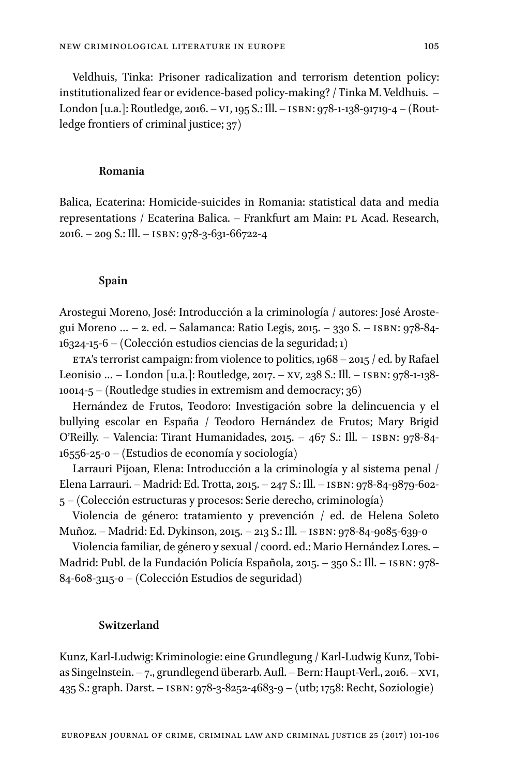Veldhuis, Tinka: Prisoner radicalization and terrorism detention policy: institutionalized fear or evidence-based policy-making? / Tinka M. Veldhuis. – London [u.a.]: Routledge, 2016. – vi, 195 S.: Ill. – isbn: 978-1-138-91719-4 – (Routledge frontiers of criminal justice; 37)

# **Romania**

Balica, Ecaterina: Homicide-suicides in Romania: statistical data and media representations / Ecaterina Balica. – Frankfurt am Main: PL Acad. Research, 2016. – 209 S.: Ill. – isbn: 978-3-631-66722-4

#### **Spain**

Arostegui Moreno, José: Introducción a la criminología / autores: José Arostegui Moreno … – 2. ed. – Salamanca: Ratio Legis, 2015. – 330 S. – isbn: 978-84- 16324-15-6 – (Colección estudios ciencias de la seguridad; 1)

ETA's terrorist campaign: from violence to politics,  $1968 - 2015 /$  ed. by Rafael Leonisio … – London [u.a.]: Routledge, 2017. – xv, 238 S.: Ill. – isbn: 978-1-138- 10014-5 – (Routledge studies in extremism and democracy; 36)

Hernández de Frutos, Teodoro: Investigación sobre la delincuencia y el bullying escolar en España / Teodoro Hernández de Frutos; Mary Brigid O'Reilly. – Valencia: Tirant Humanidades, 2015. – 467 S.: Ill. – isbn: 978-84- 16556-25-0 – (Estudios de economía y sociología)

Larrauri Pijoan, Elena: Introducción a la criminología y al sistema penal / Elena Larrauri. – Madrid: Ed. Trotta, 2015. – 247 S.: Ill. – isbn: 978-84-9879-602- 5 – (Colección estructuras y procesos: Serie derecho, criminología)

Violencia de género: tratamiento y prevención / ed. de Helena Soleto Muñoz. – Madrid: Ed. Dykinson, 2015. – 213 S.: Ill. – isbn: 978-84-9085-639-0

Violencia familiar, de género y sexual / coord. ed.: Mario Hernández Lores. – Madrid: Publ. de la Fundación Policía Española, 2015. – 350 S.: Ill. – isbn: 978- 84-608-3115-0 – (Colección Estudios de seguridad)

# **Switzerland**

Kunz, Karl-Ludwig: Kriminologie: eine Grundlegung / Karl-Ludwig Kunz, Tobias Singelnstein. – 7., grundlegend überarb. Aufl. – Bern: Haupt-Verl., 2016. – xvi, 435 S.: graph. Darst. – isbn: 978-3-8252-4683-9 – (utb; 1758: Recht, Soziologie)